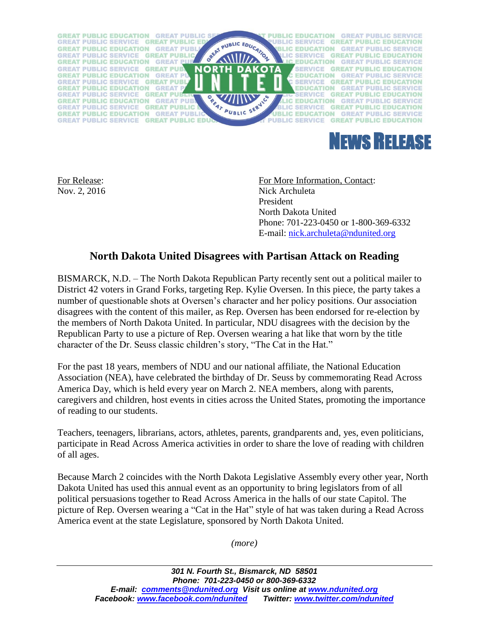



For Release: For More Information, Contact: Nov. 2, 2016 Nick Archuleta President North Dakota United Phone: 701-223-0450 or 1-800-369-6332 E-mail: [nick.archuleta@ndunited.org](mailto:nick.archuleta@ndunited.org)

## **North Dakota United Disagrees with Partisan Attack on Reading**

BISMARCK, N.D. – The North Dakota Republican Party recently sent out a political mailer to District 42 voters in Grand Forks, targeting Rep. Kylie Oversen. In this piece, the party takes a number of questionable shots at Oversen's character and her policy positions. Our association disagrees with the content of this mailer, as Rep. Oversen has been endorsed for re-election by the members of North Dakota United. In particular, NDU disagrees with the decision by the Republican Party to use a picture of Rep. Oversen wearing a hat like that worn by the title character of the Dr. Seuss classic children's story, "The Cat in the Hat."

For the past 18 years, members of NDU and our national affiliate, the National Education Association (NEA), have celebrated the birthday of Dr. Seuss by commemorating Read Across America Day, which is held every year on March 2. NEA members, along with parents, caregivers and children, host events in cities across the United States, promoting the importance of reading to our students.

Teachers, teenagers, librarians, actors, athletes, parents, grandparents and, yes, even politicians, participate in Read Across America activities in order to share the love of reading with children of all ages.

Because March 2 coincides with the North Dakota Legislative Assembly every other year, North Dakota United has used this annual event as an opportunity to bring legislators from of all political persuasions together to Read Across America in the halls of our state Capitol. The picture of Rep. Oversen wearing a "Cat in the Hat" style of hat was taken during a Read Across America event at the state Legislature, sponsored by North Dakota United.

*(more)*